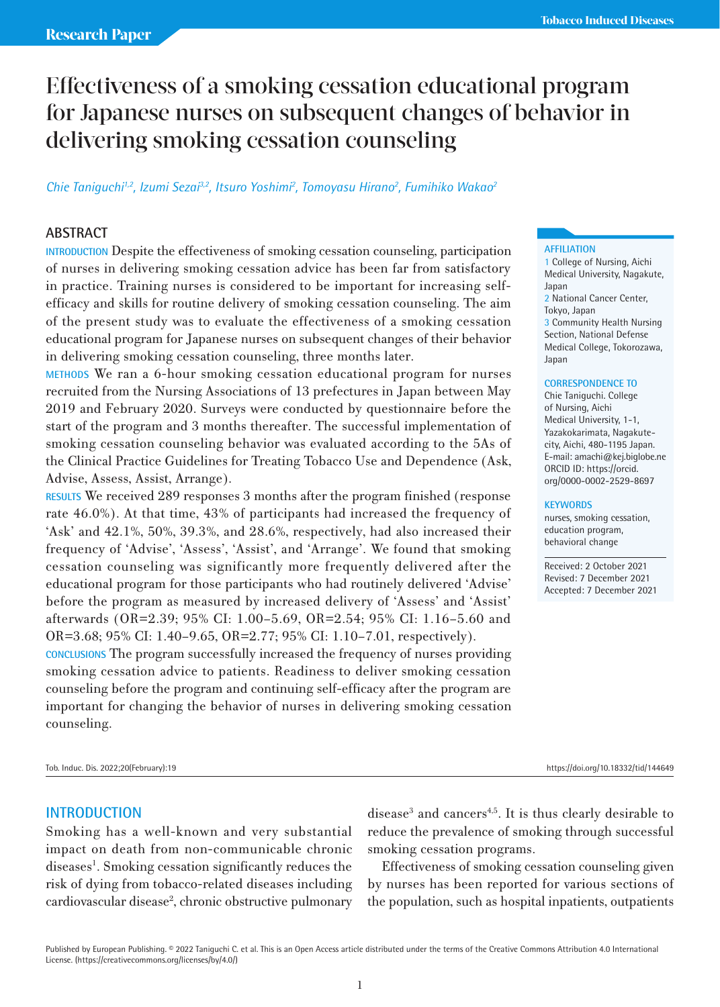# Effectiveness of a smoking cessation educational program for Japanese nurses on subsequent changes of behavior in delivering smoking cessation counseling

# Chie Taniguchi<sup>1,2</sup>, Izumi Sezai<sup>3,2</sup>, Itsuro Yoshimi<sup>2</sup>, Tomoyasu Hirano<sup>2</sup>, Fumihiko Wakao<sup>2</sup>

## **ABSTRACT**

**INTRODUCTION** Despite the effectiveness of smoking cessation counseling, participation of nurses in delivering smoking cessation advice has been far from satisfactory in practice. Training nurses is considered to be important for increasing selfefficacy and skills for routine delivery of smoking cessation counseling. The aim of the present study was to evaluate the effectiveness of a smoking cessation educational program for Japanese nurses on subsequent changes of their behavior in delivering smoking cessation counseling, three months later.

**METHODS** We ran a 6-hour smoking cessation educational program for nurses recruited from the Nursing Associations of 13 prefectures in Japan between May 2019 and February 2020. Surveys were conducted by questionnaire before the start of the program and 3 months thereafter. The successful implementation of smoking cessation counseling behavior was evaluated according to the 5As of the Clinical Practice Guidelines for Treating Tobacco Use and Dependence (Ask, Advise, Assess, Assist, Arrange).

**RESULTS** We received 289 responses 3 months after the program finished (response rate 46.0%). At that time, 43% of participants had increased the frequency of 'Ask' and 42.1%, 50%, 39.3%, and 28.6%, respectively, had also increased their frequency of 'Advise', 'Assess', 'Assist', and 'Arrange'. We found that smoking cessation counseling was significantly more frequently delivered after the educational program for those participants who had routinely delivered 'Advise' before the program as measured by increased delivery of 'Assess' and 'Assist' afterwards (OR=2.39; 95% CI: 1.00–5.69, OR=2.54; 95% CI: 1.16–5.60 and OR=3.68; 95% CI: 1.40–9.65, OR=2.77; 95% CI: 1.10–7.01, respectively).

**CONCLUSIONS** The program successfully increased the frequency of nurses providing smoking cessation advice to patients. Readiness to deliver smoking cessation counseling before the program and continuing self-efficacy after the program are important for changing the behavior of nurses in delivering smoking cessation counseling.

### **AFFILIATION**

1 College of Nursing, Aichi Medical University, Nagakute, Japan 2 National Cancer Center, Tokyo, Japan 3 Community Health Nursing

Section, National Defense Medical College, Tokorozawa, Japan

#### **CORRESPONDENCE TO**

Chie Taniguchi. College of Nursing, Aichi Medical University, 1-1, Yazakokarimata, Nagakutecity, Aichi, 480-1195 Japan. E-mail: amachi@kej.biglobe.ne ORCID ID: https://orcid. org/0000-0002-2529-8697

### **KEYWORDS**

nurses, smoking cessation, education program, behavioral change

Received: 2 October 2021 Revised: 7 December 2021 Accepted: 7 December 2021

Tob. Induc. Dis. 2022;20(February):19 https://doi.org/10.18332/tid/144649

### **INTRODUCTION**

Smoking has a well-known and very substantial impact on death from non-communicable chronic diseases<sup>1</sup>. Smoking cessation significantly reduces the risk of dying from tobacco-related diseases including cardiovascular disease<sup>2</sup>, chronic obstructive pulmonary

disease<sup>3</sup> and cancers<sup>4,5</sup>. It is thus clearly desirable to reduce the prevalence of smoking through successful smoking cessation programs.

Effectiveness of smoking cessation counseling given by nurses has been reported for various sections of the population, such as hospital inpatients, outpatients

Published by European Publishing. © 2022 Taniguchi C. et al. This is an Open Access article distributed under the terms of the Creative Commons Attribution 4.0 International License. (https://creativecommons.org/licenses/by/4.0/)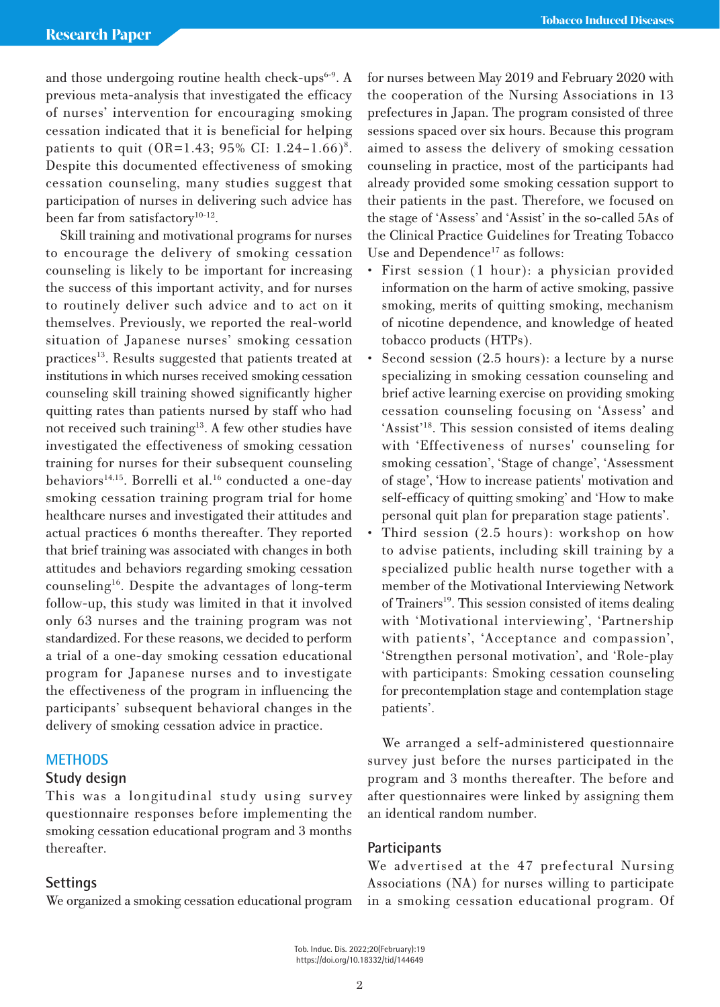and those undergoing routine health check-ups $6-9$ . A previous meta-analysis that investigated the efficacy of nurses' intervention for encouraging smoking cessation indicated that it is beneficial for helping patients to quit (OR=1.43; 95% CI:  $1.24-1.66$ )<sup>8</sup>. Despite this documented effectiveness of smoking cessation counseling, many studies suggest that participation of nurses in delivering such advice has been far from satisfactory<sup>10-12</sup>.

Skill training and motivational programs for nurses to encourage the delivery of smoking cessation counseling is likely to be important for increasing the success of this important activity, and for nurses to routinely deliver such advice and to act on it themselves. Previously, we reported the real-world situation of Japanese nurses' smoking cessation practices<sup>13</sup>. Results suggested that patients treated at institutions in which nurses received smoking cessation counseling skill training showed significantly higher quitting rates than patients nursed by staff who had not received such training<sup>13</sup>. A few other studies have investigated the effectiveness of smoking cessation training for nurses for their subsequent counseling behaviors<sup>14,15</sup>. Borrelli et al.<sup>16</sup> conducted a one-day smoking cessation training program trial for home healthcare nurses and investigated their attitudes and actual practices 6 months thereafter. They reported that brief training was associated with changes in both attitudes and behaviors regarding smoking cessation counseling16. Despite the advantages of long-term follow-up, this study was limited in that it involved only 63 nurses and the training program was not standardized. For these reasons, we decided to perform a trial of a one-day smoking cessation educational program for Japanese nurses and to investigate the effectiveness of the program in influencing the participants' subsequent behavioral changes in the delivery of smoking cessation advice in practice.

# **METHODS**

# **Study design**

This was a longitudinal study using survey questionnaire responses before implementing the smoking cessation educational program and 3 months thereafter.

### **Settings**

We organized a smoking cessation educational program

for nurses between May 2019 and February 2020 with the cooperation of the Nursing Associations in 13 prefectures in Japan. The program consisted of three sessions spaced over six hours. Because this program aimed to assess the delivery of smoking cessation counseling in practice, most of the participants had already provided some smoking cessation support to their patients in the past. Therefore, we focused on the stage of 'Assess' and 'Assist' in the so-called 5As of the Clinical Practice Guidelines for Treating Tobacco Use and Dependence<sup>17</sup> as follows:

- First session (1 hour): a physician provided information on the harm of active smoking, passive smoking, merits of quitting smoking, mechanism of nicotine dependence, and knowledge of heated tobacco products (HTPs).
- Second session (2.5 hours): a lecture by a nurse specializing in smoking cessation counseling and brief active learning exercise on providing smoking cessation counseling focusing on 'Assess' and 'Assist'18. This session consisted of items dealing with 'Effectiveness of nurses' counseling for smoking cessation', 'Stage of change', 'Assessment of stage', 'How to increase patients' motivation and self-efficacy of quitting smoking' and 'How to make personal quit plan for preparation stage patients'.
- Third session  $(2.5 \text{ hours})$ : workshop on how to advise patients, including skill training by a specialized public health nurse together with a member of the Motivational Interviewing Network of Trainers<sup>19</sup>. This session consisted of items dealing with 'Motivational interviewing', 'Partnership with patients', 'Acceptance and compassion', 'Strengthen personal motivation', and 'Role-play with participants: Smoking cessation counseling for precontemplation stage and contemplation stage patients'.

We arranged a self-administered questionnaire survey just before the nurses participated in the program and 3 months thereafter. The before and after questionnaires were linked by assigning them an identical random number.

# **Participants**

We advertised at the 47 prefectural Nursing Associations (NA) for nurses willing to participate in a smoking cessation educational program. Of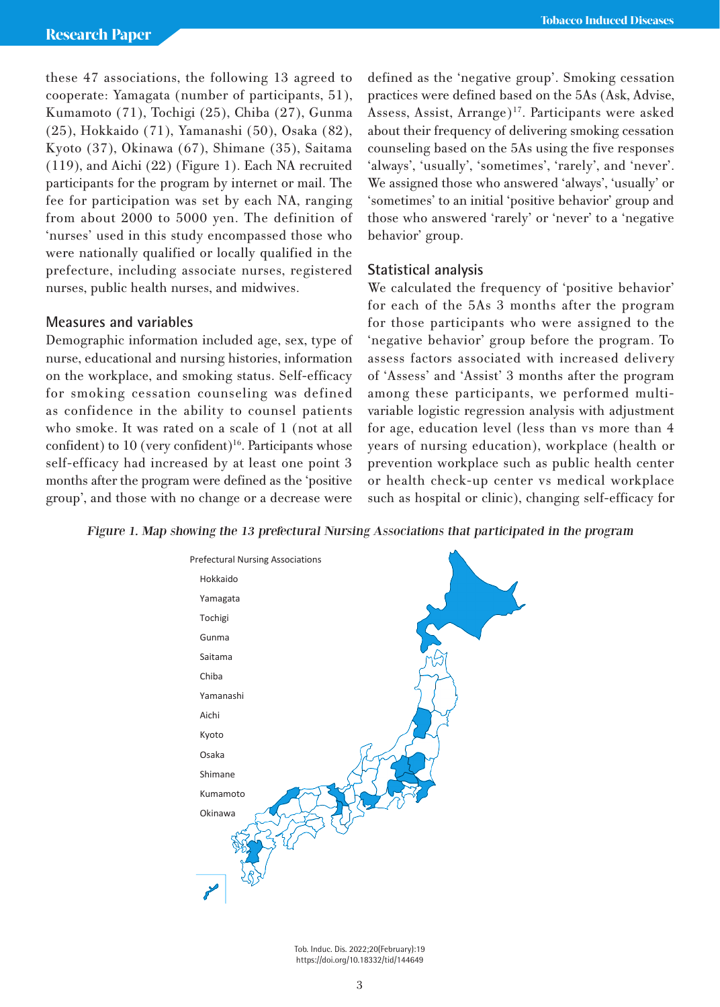these 47 associations, the following 13 agreed to cooperate: Yamagata (number of participants, 51), Kumamoto (71), Tochigi (25), Chiba (27), Gunma (25), Hokkaido (71), Yamanashi (50), Osaka (82), Kyoto (37), Okinawa (67), Shimane (35), Saitama (119), and Aichi (22) (Figure 1). Each NA recruited participants for the program by internet or mail. The fee for participation was set by each NA, ranging from about 2000 to 5000 yen. The definition of 'nurses' used in this study encompassed those who were nationally qualified or locally qualified in the prefecture, including associate nurses, registered nurses, public health nurses, and midwives.

# **Measures and variables**

Demographic information included age, sex, type of nurse, educational and nursing histories, information on the workplace, and smoking status. Self-efficacy for smoking cessation counseling was defined as confidence in the ability to counsel patients who smoke. It was rated on a scale of 1 (not at all confident) to  $10$  (very confident)<sup>16</sup>. Participants whose self-efficacy had increased by at least one point 3 months after the program were defined as the 'positive group', and those with no change or a decrease were

defined as the 'negative group'. Smoking cessation practices were defined based on the 5As (Ask, Advise, Assess, Assist, Arrange)<sup>17</sup>. Participants were asked about their frequency of delivering smoking cessation counseling based on the 5As using the five responses 'always', 'usually', 'sometimes', 'rarely', and 'never'. We assigned those who answered 'always', 'usually' or 'sometimes' to an initial 'positive behavior' group and those who answered 'rarely' or 'never' to a 'negative behavior' group.

# **Statistical analysis**

We calculated the frequency of 'positive behavior' for each of the 5As 3 months after the program for those participants who were assigned to the 'negative behavior' group before the program. To assess factors associated with increased delivery of 'Assess' and 'Assist' 3 months after the program among these participants, we performed multivariable logistic regression analysis with adjustment for age, education level (less than vs more than 4 years of nursing education), workplace (health or prevention workplace such as public health center or health check-up center vs medical workplace such as hospital or clinic), changing self-efficacy for

Figure 1. Map showing the 13 prefectural Nursing Associations that participated in the program



Tob. Induc. Dis. 2022;20(February):19 *Figure 1. Map showing the 13 prefectural Nursing Associations that participated in the*  https://doi.org/10.18332/tid/144649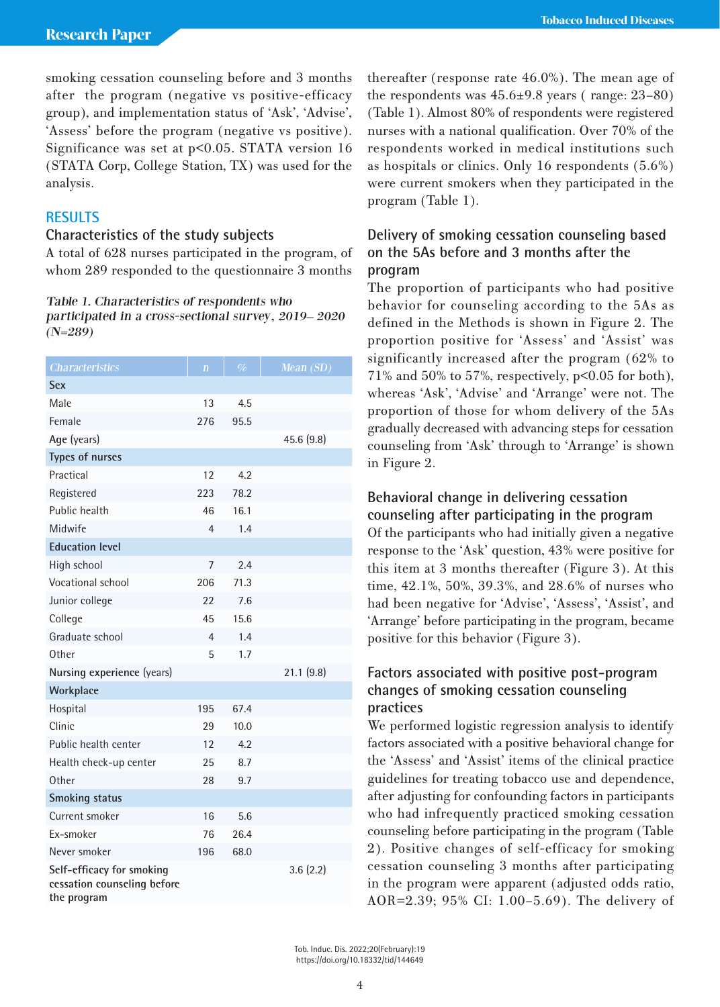smoking cessation counseling before and 3 months after the program (negative vs positive-efficacy group), and implementation status of 'Ask', 'Advise', 'Assess' before the program (negative vs positive). Significance was set at  $p<0.05$ . STATA version 16 (STATA Corp, College Station, TX) was used for the analysis.

# **RESULTS**

# **Characteristics of the study subjects**

A total of 628 nurses participated in the program, of whom 289 responded to the questionnaire 3 months

## Table 1. Characteristics of respondents who participated in a cross-sectional survey, 2019– 2020  $(N=289)$

| <b>Characteristics</b>                                                  | $\overline{\mathbf{n}}$ | $\%$ | Mean (SD)  |
|-------------------------------------------------------------------------|-------------------------|------|------------|
| Sex                                                                     |                         |      |            |
| Male                                                                    | 13                      | 4.5  |            |
| Female                                                                  | 276                     | 95.5 |            |
| Age (years)                                                             |                         |      | 45.6 (9.8) |
| Types of nurses                                                         |                         |      |            |
| Practical                                                               | 12                      | 4.2  |            |
| Registered                                                              | 223                     | 78.2 |            |
| Public health                                                           | 46                      | 16.1 |            |
| Midwife                                                                 | 4                       | 1.4  |            |
| <b>Education level</b>                                                  |                         |      |            |
| High school                                                             | 7                       | 2.4  |            |
| Vocational school                                                       | 206                     | 71.3 |            |
| Junior college                                                          | 22                      | 7.6  |            |
| College                                                                 | 45                      | 15.6 |            |
| Graduate school                                                         | 4                       | 1.4  |            |
| Other                                                                   | 5                       | 1.7  |            |
| Nursing experience (years)                                              |                         |      | 21.1(9.8)  |
| Workplace                                                               |                         |      |            |
| Hospital                                                                | 195                     | 67.4 |            |
| Clinic                                                                  | 29                      | 10.0 |            |
| Public health center                                                    | 12                      | 4.2  |            |
| Health check-up center                                                  | 25                      | 8.7  |            |
| Other                                                                   | 28                      | 9.7  |            |
| <b>Smoking status</b>                                                   |                         |      |            |
| Current smoker                                                          | 16                      | 5.6  |            |
| Fx-smoker                                                               | 76                      | 26.4 |            |
| Never smoker                                                            | 196                     | 68.0 |            |
| Self-efficacy for smoking<br>cessation counseling before<br>the program |                         |      | 3.6(2.2)   |

thereafter (response rate 46.0%). The mean age of the respondents was  $45.6\pm9.8$  years (range:  $23-80$ ) (Table 1). Almost 80% of respondents were registered nurses with a national qualification. Over 70% of the respondents worked in medical institutions such as hospitals or clinics. Only 16 respondents (5.6%) were current smokers when they participated in the program (Table 1).

# **Delivery of smoking cessation counseling based on the 5As before and 3 months after the program**

The proportion of participants who had positive behavior for counseling according to the 5As as defined in the Methods is shown in Figure 2. The proportion positive for 'Assess' and 'Assist' was significantly increased after the program (62% to 71% and 50% to 57%, respectively, p<0.05 for both), whereas 'Ask', 'Advise' and 'Arrange' were not. The proportion of those for whom delivery of the 5As gradually decreased with advancing steps for cessation counseling from 'Ask' through to 'Arrange' is shown in Figure 2.

# **Behavioral change in delivering cessation counseling after participating in the program**

Of the participants who had initially given a negative response to the 'Ask' question, 43% were positive for this item at 3 months thereafter (Figure 3). At this time, 42.1%, 50%, 39.3%, and 28.6% of nurses who had been negative for 'Advise', 'Assess', 'Assist', and 'Arrange' before participating in the program, became positive for this behavior (Figure 3).

# **Factors associated with positive post-program changes of smoking cessation counseling practices**

We performed logistic regression analysis to identify factors associated with a positive behavioral change for the 'Assess' and 'Assist' items of the clinical practice guidelines for treating tobacco use and dependence, after adjusting for confounding factors in participants who had infrequently practiced smoking cessation counseling before participating in the program (Table 2). Positive changes of self-efficacy for smoking cessation counseling 3 months after participating in the program were apparent (adjusted odds ratio, AOR=2.39; 95% CI: 1.00–5.69). The delivery of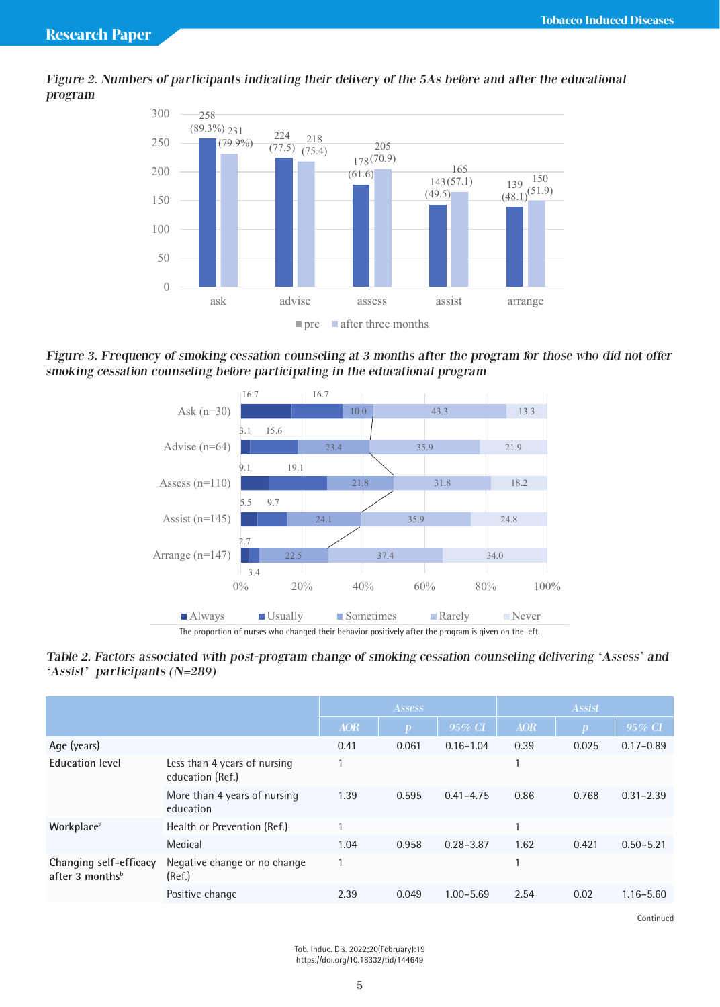



Figure 3. Frequency of smoking cessation counseling at 3 months after the program for those who did not offer smoking cessation counseling before participating in the educational program *educational program*



The proportion of nurses who changed their behavior positively after the program is given on the left.<br>

#### Table 2. Factors associated with post-program change of smoking cessation counseling delivering 'Assess' and 'Assist' participants (N=289) *program*  $(-289)$ *those who did not offer smoking cessation counseling before participating in the educational*

|                                                         |                                                  | <b>Assess</b> |              | <b>Assist</b> |            |       |               |
|---------------------------------------------------------|--------------------------------------------------|---------------|--------------|---------------|------------|-------|---------------|
|                                                         |                                                  | <b>AOR</b>    | $\mathbf{D}$ | $95\%$ CI     | <b>AOR</b> | m,    | $95\%$ CI     |
| Age (years)                                             |                                                  | 0.41          | 0.061        | $0.16 - 1.04$ | 0.39       | 0.025 | $0.17 - 0.89$ |
| <b>Education level</b>                                  | Less than 4 years of nursing<br>education (Ref.) |               |              |               | 1          |       |               |
|                                                         | More than 4 years of nursing<br>education        | 1.39          | 0.595        | $0.41 - 4.75$ | 0.86       | 0.768 | $0.31 - 2.39$ |
| Workplace <sup>a</sup>                                  | Health or Prevention (Ref.)                      |               |              |               | 1          |       |               |
|                                                         | Medical                                          | 1.04          | 0.958        | $0.28 - 3.87$ | 1.62       | 0.421 | $0.50 - 5.21$ |
| Changing self-efficacy<br>after $3$ months <sup>b</sup> | Negative change or no change<br>(Ref.)           |               |              |               | 1          |       |               |
|                                                         | Positive change                                  | 2.39          | 0.049        | $1.00 - 5.69$ | 2.54       | 0.02  | $1.16 - 5.60$ |
|                                                         |                                                  |               |              |               |            |       |               |

**Continued** 

Tob. Induc. Dis. 2022;20(February):19 https://doi.org/10.18332/tid/144649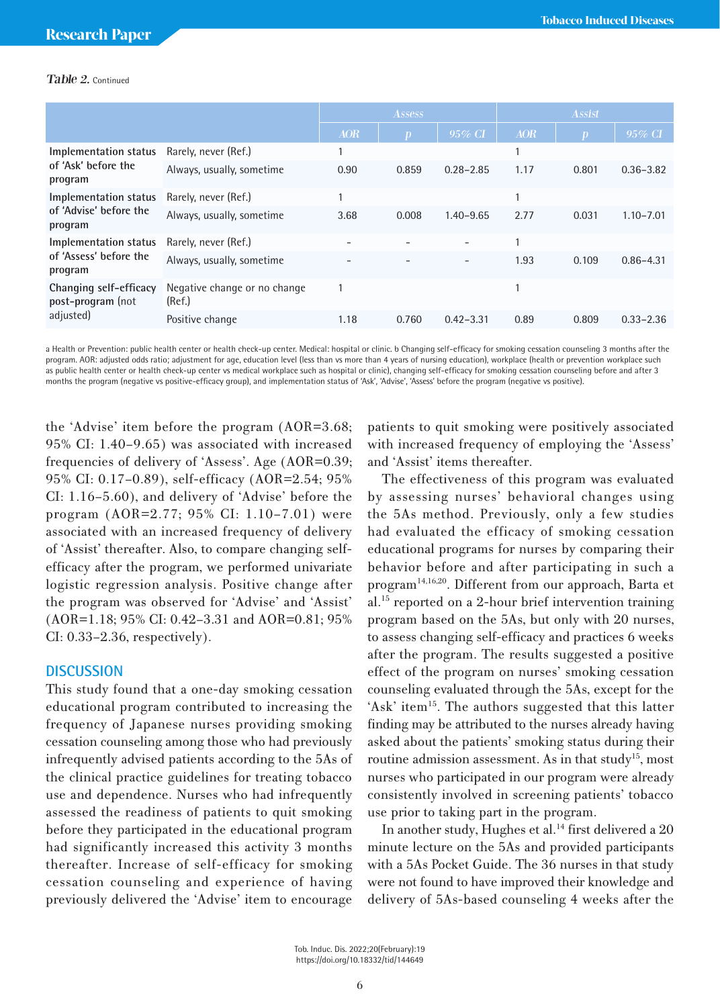### Table 2. Continued

|                                                            |                                        | <b>Assess</b> |              | <b>Assist</b>            |              |                  |               |
|------------------------------------------------------------|----------------------------------------|---------------|--------------|--------------------------|--------------|------------------|---------------|
|                                                            |                                        | <b>AOR</b>    | $\mathbf{D}$ | $95\%$ CI                | <b>AOR</b>   | $\boldsymbol{p}$ | 95% CI        |
| Implementation status<br>of 'Ask' before the<br>program    | Rarely, never (Ref.)                   |               |              |                          |              |                  |               |
|                                                            | Always, usually, sometime              | 0.90          | 0.859        | $0.28 - 2.85$            | 1.17         | 0.801            | $0.36 - 3.82$ |
| Implementation status<br>of 'Advise' before the<br>program | Rarely, never (Ref.)                   |               |              |                          | и            |                  |               |
|                                                            | Always, usually, sometime              | 3.68          | 0.008        | $1.40 - 9.65$            | 2.77         | 0.031            | $1.10 - 7.01$ |
| Implementation status<br>of 'Assess' before the<br>program | Rarely, never (Ref.)                   |               |              | ۰                        | <sub>1</sub> |                  |               |
|                                                            | Always, usually, sometime              |               |              | $\overline{\phantom{0}}$ | 1.93         | 0.109            | $0.86 - 4.31$ |
| Changing self-efficacy<br>post-program (not<br>adjusted)   | Negative change or no change<br>(Ref.) |               |              |                          |              |                  |               |
|                                                            | Positive change                        | 1.18          | 0.760        | $0.42 - 3.31$            | 0.89         | 0.809            | $0.33 - 2.36$ |

a Health or Prevention: public health center or health check-up center. Medical: hospital or clinic. b Changing self-efficacy for smoking cessation counseling 3 months after the program. AOR: adjusted odds ratio; adjustment for age, education level (less than vs more than 4 years of nursing education), workplace (health or prevention workplace such as public health center or health check-up center vs medical workplace such as hospital or clinic), changing self-efficacy for smoking cessation counseling before and after 3 months the program (negative vs positive-efficacy group), and implementation status of 'Ask', 'Advise', 'Assess' before the program (negative vs positive).

the 'Advise' item before the program (AOR=3.68; 95% CI: 1.40–9.65) was associated with increased frequencies of delivery of 'Assess'. Age (AOR=0.39; 95% CI: 0.17–0.89), self-efficacy (AOR=2.54; 95% CI: 1.16–5.60), and delivery of 'Advise' before the program (AOR=2.77; 95% CI: 1.10–7.01) were associated with an increased frequency of delivery of 'Assist' thereafter. Also, to compare changing selfefficacy after the program, we performed univariate logistic regression analysis. Positive change after the program was observed for 'Advise' and 'Assist' (AOR=1.18; 95% CI: 0.42–3.31 and AOR=0.81; 95% CI: 0.33–2.36, respectively).

### **DISCUSSION**

This study found that a one-day smoking cessation educational program contributed to increasing the frequency of Japanese nurses providing smoking cessation counseling among those who had previously infrequently advised patients according to the 5As of the clinical practice guidelines for treating tobacco use and dependence. Nurses who had infrequently assessed the readiness of patients to quit smoking before they participated in the educational program had significantly increased this activity 3 months thereafter. Increase of self-efficacy for smoking cessation counseling and experience of having previously delivered the 'Advise' item to encourage

patients to quit smoking were positively associated with increased frequency of employing the 'Assess' and 'Assist' items thereafter.

The effectiveness of this program was evaluated by assessing nurses' behavioral changes using the 5As method. Previously, only a few studies had evaluated the efficacy of smoking cessation educational programs for nurses by comparing their behavior before and after participating in such a program14,16,20. Different from our approach, Barta et al.15 reported on a 2-hour brief intervention training program based on the 5As, but only with 20 nurses, to assess changing self-efficacy and practices 6 weeks after the program. The results suggested a positive effect of the program on nurses' smoking cessation counseling evaluated through the 5As, except for the 'Ask' item<sup>15</sup>. The authors suggested that this latter finding may be attributed to the nurses already having asked about the patients' smoking status during their routine admission assessment. As in that study<sup>15</sup>, most nurses who participated in our program were already consistently involved in screening patients' tobacco use prior to taking part in the program.

In another study, Hughes et al.<sup>14</sup> first delivered a 20 minute lecture on the 5As and provided participants with a 5As Pocket Guide. The 36 nurses in that study were not found to have improved their knowledge and delivery of 5As-based counseling 4 weeks after the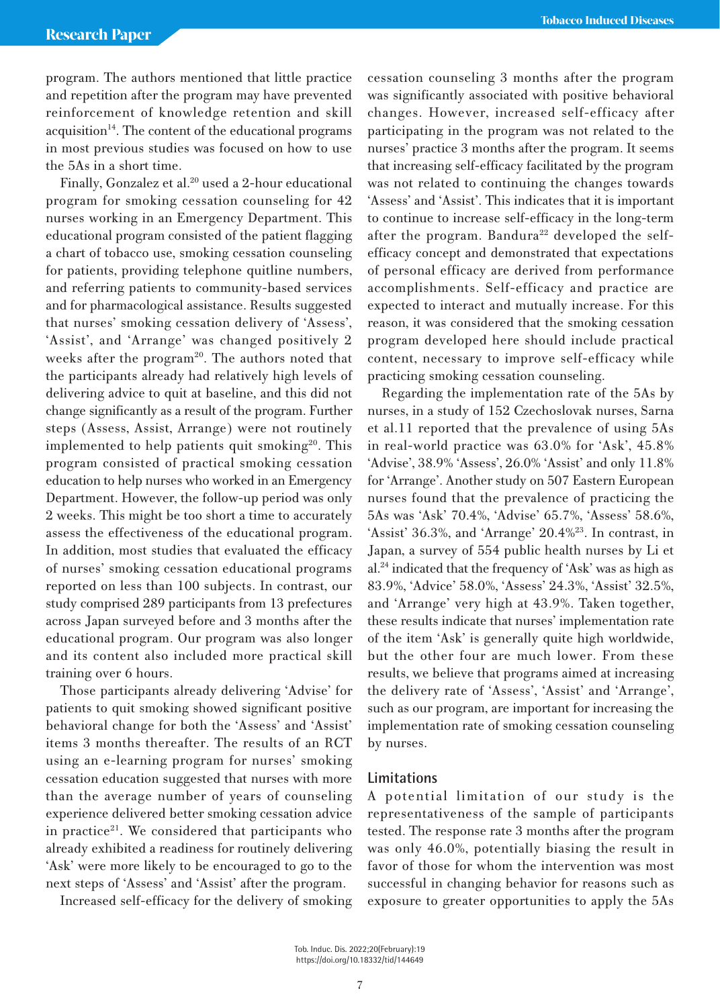program. The authors mentioned that little practice and repetition after the program may have prevented reinforcement of knowledge retention and skill  $acquisition<sup>14</sup>$ . The content of the educational programs in most previous studies was focused on how to use the 5As in a short time.

Finally, Gonzalez et al.<sup>20</sup> used a 2-hour educational program for smoking cessation counseling for 42 nurses working in an Emergency Department. This educational program consisted of the patient flagging a chart of tobacco use, smoking cessation counseling for patients, providing telephone quitline numbers, and referring patients to community-based services and for pharmacological assistance. Results suggested that nurses' smoking cessation delivery of 'Assess', 'Assist', and 'Arrange' was changed positively 2 weeks after the program<sup>20</sup>. The authors noted that the participants already had relatively high levels of delivering advice to quit at baseline, and this did not change significantly as a result of the program. Further steps (Assess, Assist, Arrange) were not routinely implemented to help patients quit smoking<sup>20</sup>. This program consisted of practical smoking cessation education to help nurses who worked in an Emergency Department. However, the follow-up period was only 2 weeks. This might be too short a time to accurately assess the effectiveness of the educational program. In addition, most studies that evaluated the efficacy of nurses' smoking cessation educational programs reported on less than 100 subjects. In contrast, our study comprised 289 participants from 13 prefectures across Japan surveyed before and 3 months after the educational program. Our program was also longer and its content also included more practical skill training over 6 hours.

Those participants already delivering 'Advise' for patients to quit smoking showed significant positive behavioral change for both the 'Assess' and 'Assist' items 3 months thereafter. The results of an RCT using an e-learning program for nurses' smoking cessation education suggested that nurses with more than the average number of years of counseling experience delivered better smoking cessation advice in practice<sup>21</sup>. We considered that participants who already exhibited a readiness for routinely delivering 'Ask' were more likely to be encouraged to go to the next steps of 'Assess' and 'Assist' after the program.

Increased self-efficacy for the delivery of smoking

cessation counseling 3 months after the program was significantly associated with positive behavioral changes. However, increased self-efficacy after participating in the program was not related to the nurses' practice 3 months after the program. It seems that increasing self-efficacy facilitated by the program was not related to continuing the changes towards 'Assess' and 'Assist'. This indicates that it is important to continue to increase self-efficacy in the long-term after the program. Bandura<sup>22</sup> developed the selfefficacy concept and demonstrated that expectations of personal efficacy are derived from performance accomplishments. Self-efficacy and practice are expected to interact and mutually increase. For this reason, it was considered that the smoking cessation program developed here should include practical content, necessary to improve self-efficacy while practicing smoking cessation counseling.

Regarding the implementation rate of the 5As by nurses, in a study of 152 Czechoslovak nurses, Sarna et al.11 reported that the prevalence of using 5As in real-world practice was 63.0% for 'Ask', 45.8% 'Advise', 38.9% 'Assess', 26.0% 'Assist' and only 11.8% for 'Arrange'. Another study on 507 Eastern European nurses found that the prevalence of practicing the 5As was 'Ask' 70.4%, 'Advise' 65.7%, 'Assess' 58.6%, 'Assist' 36.3%, and 'Arrange' 20.4%23. In contrast, in Japan, a survey of 554 public health nurses by Li et al.24 indicated that the frequency of 'Ask' was as high as 83.9%, 'Advice' 58.0%, 'Assess' 24.3%, 'Assist' 32.5%, and 'Arrange' very high at 43.9%. Taken together, these results indicate that nurses' implementation rate of the item 'Ask' is generally quite high worldwide, but the other four are much lower. From these results, we believe that programs aimed at increasing the delivery rate of 'Assess', 'Assist' and 'Arrange', such as our program, are important for increasing the implementation rate of smoking cessation counseling by nurses.

### **Limitations**

A potential limitation of our study is the representativeness of the sample of participants tested. The response rate 3 months after the program was only 46.0%, potentially biasing the result in favor of those for whom the intervention was most successful in changing behavior for reasons such as exposure to greater opportunities to apply the 5As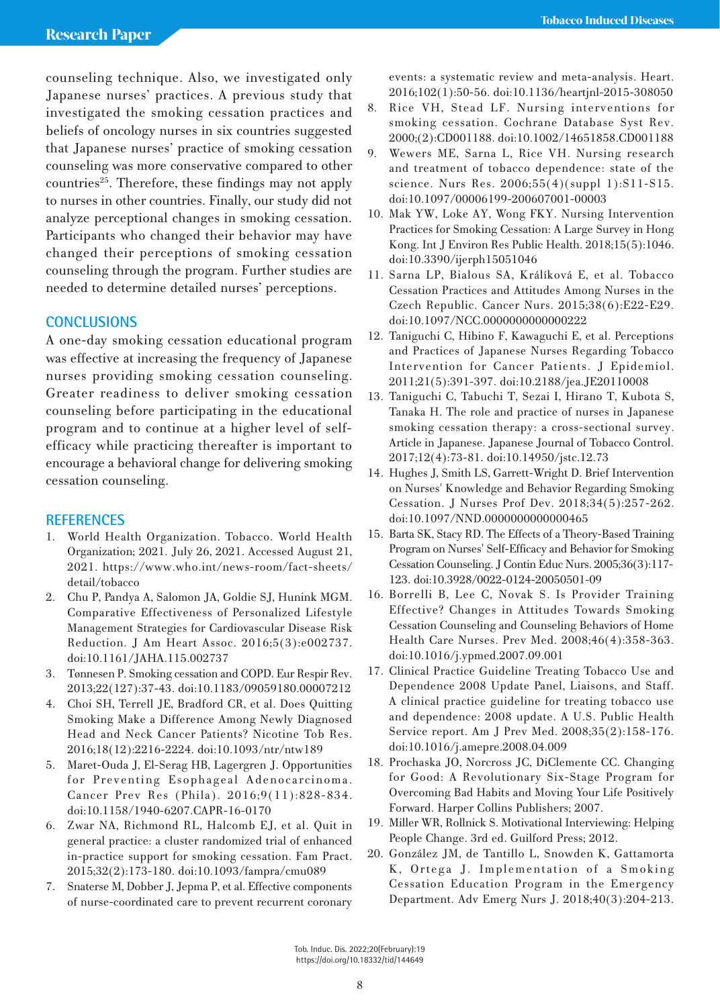counseling technique. Also, we investigated only Japanese nurses' practices. A previous study that investigated the smoking cessation practices and beliefs of oncology nurses in six countries suggested that Japanese nurses' practice of smoking cessation counseling was more conservative compared to other  $countries<sup>25</sup>$ . Therefore, these findings may not apply to nurses in other countries. Finally, our study did not analyze perceptional changes in smoking cessation. Participants who changed their behavior may have changed their perceptions of smoking cessation counseling through the program. Further studies are needed to determine detailed nurses' perceptions.

# **CONCLUSIONS**

A one-day smoking cessation educational program was effective at increasing the frequency of Japanese nurses providing smoking cessation counseling. Greater readiness to deliver smoking cessation counseling before participating in the educational program and to continue at a higher level of selfefficacy while practicing thereafter is important to encourage a behavioral change for delivering smoking cessation counseling.

### **REFERENCES**

- 1. World Health Organization. Tobacco. World Health Organization; 2021. July 26, 2021. Accessed August 21, 2021. https://www.who.int/news-room/fact-sheets/ detail/tobacco
- 2. Chu P, Pandya A, Salomon JA, Goldie SJ, Hunink MGM. Comparative Effectiveness of Personalized Lifestyle Management Strategies for Cardiovascular Disease Risk Reduction. J Am Heart Assoc. 2016;5(3):e002737. doi:10.1161/JAHA.115.002737
- 3. Tønnesen P. Smoking cessation and COPD. Eur Respir Rev. 2013;22(127):37-43. doi:10.1183/09059180.00007212
- 4. Choi SH, Terrell JE, Bradford CR, et al. Does Quitting Smoking Make a Difference Among Newly Diagnosed Head and Neck Cancer Patients? Nicotine Tob Res. 2016;18(12):2216-2224. doi:10.1093/ntr/ntw189
- 5. Maret-Ouda J, El-Serag HB, Lagergren J. Opportunities for Preventing Esophageal Adenocarcinoma. Cancer Prev Res (Phila). 2016;9(11):828-834. doi:10.1158/1940-6207.CAPR-16-0170
- 6. Zwar NA, Richmond RL, Halcomb EJ, et al. Quit in general practice: a cluster randomized trial of enhanced in-practice support for smoking cessation. Fam Pract. 2015;32(2):173-180. doi:10.1093/fampra/cmu089
- 7. Snaterse M, Dobber J, Jepma P, et al. Effective components of nurse-coordinated care to prevent recurrent coronary

events: a systematic review and meta-analysis. Heart. 2016;102(1):50-56. doi:10.1136/heartjnl-2015-308050

- 8. Rice VH, Stead LF. Nursing interventions for smoking cessation. Cochrane Database Syst Rev. 2000;(2):CD001188. doi:10.1002/14651858.CD001188
- 9. Wewers ME, Sarna L, Rice VH. Nursing research and treatment of tobacco dependence: state of the science. Nurs Res. 2006;55(4)(suppl 1):S11-S15. doi:10.1097/00006199-200607001-00003
- 10. Mak YW, Loke AY, Wong FKY. Nursing Intervention Practices for Smoking Cessation: A Large Survey in Hong Kong. Int J Environ Res Public Health. 2018;15(5):1046. doi:10.3390/ijerph15051046
- 11. Sarna LP, Bialous SA, Králíková E, et al. Tobacco Cessation Practices and Attitudes Among Nurses in the Czech Republic. Cancer Nurs. 2015;38(6):E22-E29. doi:10.1097/NCC.0000000000000222
- 12. Taniguchi C, Hibino F, Kawaguchi E, et al. Perceptions and Practices of Japanese Nurses Regarding Tobacco Intervention for Cancer Patients. J Epidemiol. 2011;21(5):391-397. doi:10.2188/jea.JE20110008
- 13. Taniguchi C, Tabuchi T, Sezai I, Hirano T, Kubota S, Tanaka H. The role and practice of nurses in Japanese smoking cessation therapy: a cross-sectional survey. Article in Japanese. Japanese Journal of Tobacco Control. 2017;12(4):73-81. doi:10.14950/jstc.12.73
- 14. Hughes J, Smith LS, Garrett-Wright D. Brief Intervention on Nurses' Knowledge and Behavior Regarding Smoking Cessation. J Nurses Prof Dev. 2018;34(5):257-262. doi:10.1097/NND.0000000000000465
- 15. Barta SK, Stacy RD. The Effects of a Theory-Based Training Program on Nurses' Self-Efficacy and Behavior for Smoking Cessation Counseling. J Contin Educ Nurs. 2005;36(3):117- 123. doi:10.3928/0022-0124-20050501-09
- 16. Borrelli B, Lee C, Novak S. Is Provider Training Effective? Changes in Attitudes Towards Smoking Cessation Counseling and Counseling Behaviors of Home Health Care Nurses. Prev Med. 2008;46(4):358-363. doi:10.1016/j.ypmed.2007.09.001
- 17. Clinical Practice Guideline Treating Tobacco Use and Dependence 2008 Update Panel, Liaisons, and Staff. A clinical practice guideline for treating tobacco use and dependence: 2008 update. A U.S. Public Health Service report. Am J Prev Med. 2008;35(2):158-176. doi:10.1016/j.amepre.2008.04.009
- 18. Prochaska JO, Norcross JC, DiClemente CC. Changing for Good: A Revolutionary Six-Stage Program for Overcoming Bad Habits and Moving Your Life Positively Forward. Harper Collins Publishers; 2007.
- 19. Miller WR, Rollnick S. Motivational Interviewing: Helping People Change. 3rd ed. Guilford Press; 2012.
- 20. González JM, de Tantillo L, Snowden K, Gattamorta K, Ortega J. Implementation of a Smoking Cessation Education Program in the Emergency Department. Adv Emerg Nurs J. 2018;40(3):204-213.